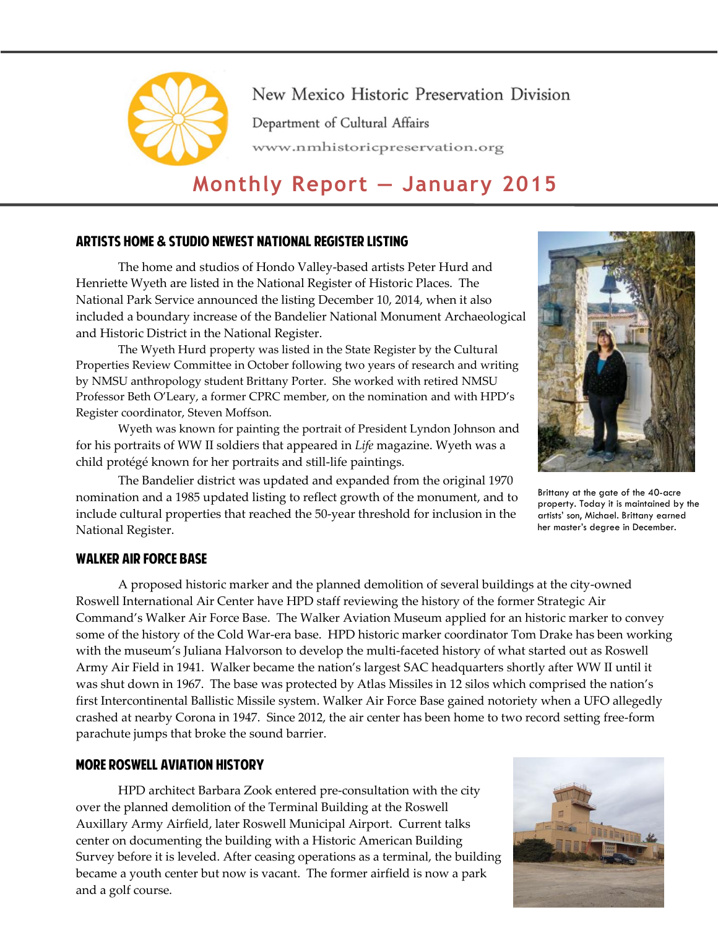

New Mexico Historic Preservation Division Department of Cultural Affairs www.nmhistoricpreservation.org

# **Monthly Report — January 2015**

# Artists Home & Studio Newest National Register Listing

The home and studios of Hondo Valley-based artists Peter Hurd and Henriette Wyeth are listed in the National Register of Historic Places. The National Park Service announced the listing December 10, 2014, when it also included a boundary increase of the Bandelier National Monument Archaeological and Historic District in the National Register.

The Wyeth Hurd property was listed in the State Register by the Cultural Properties Review Committee in October following two years of research and writing by NMSU anthropology student Brittany Porter. She worked with retired NMSU Professor Beth O'Leary, a former CPRC member, on the nomination and with HPD's Register coordinator, Steven Moffson.

Wyeth was known for painting the portrait of President Lyndon Johnson and for his portraits of WW II soldiers that appeared in *Life* magazine. Wyeth was a child protégé known for her portraits and still-life paintings.



Brittany at the gate of the 40-acre property. Today it is maintained by the artists' son, Michael. Brittany earned her master's degree in December.

The Bandelier district was updated and expanded from the original 1970 nomination and a 1985 updated listing to reflect growth of the monument, and to include cultural properties that reached the 50-year threshold for inclusion in the National Register.

## Walker Air Force Base

A proposed historic marker and the planned demolition of several buildings at the city-owned Roswell International Air Center have HPD staff reviewing the history of the former Strategic Air Command's Walker Air Force Base. The Walker Aviation Museum applied for an historic marker to convey some of the history of the Cold War-era base. HPD historic marker coordinator Tom Drake has been working with the museum's Juliana Halvorson to develop the multi-faceted history of what started out as Roswell Army Air Field in 1941. Walker became the nation's largest SAC headquarters shortly after WW II until it was shut down in 1967. The base was protected by Atlas Missiles in 12 silos which comprised the nation's first Intercontinental Ballistic Missile system. Walker Air Force Base gained notoriety when a UFO allegedly crashed at nearby Corona in 1947. Since 2012, the air center has been home to two record setting free-form parachute jumps that broke the sound barrier.

## More Roswell Aviation History

HPD architect Barbara Zook entered pre-consultation with the city over the planned demolition of the Terminal Building at the Roswell Auxillary Army Airfield, later Roswell Municipal Airport. Current talks center on documenting the building with a Historic American Building Survey before it is leveled. After ceasing operations as a terminal, the building became a youth center but now is vacant. The former airfield is now a park and a golf course.

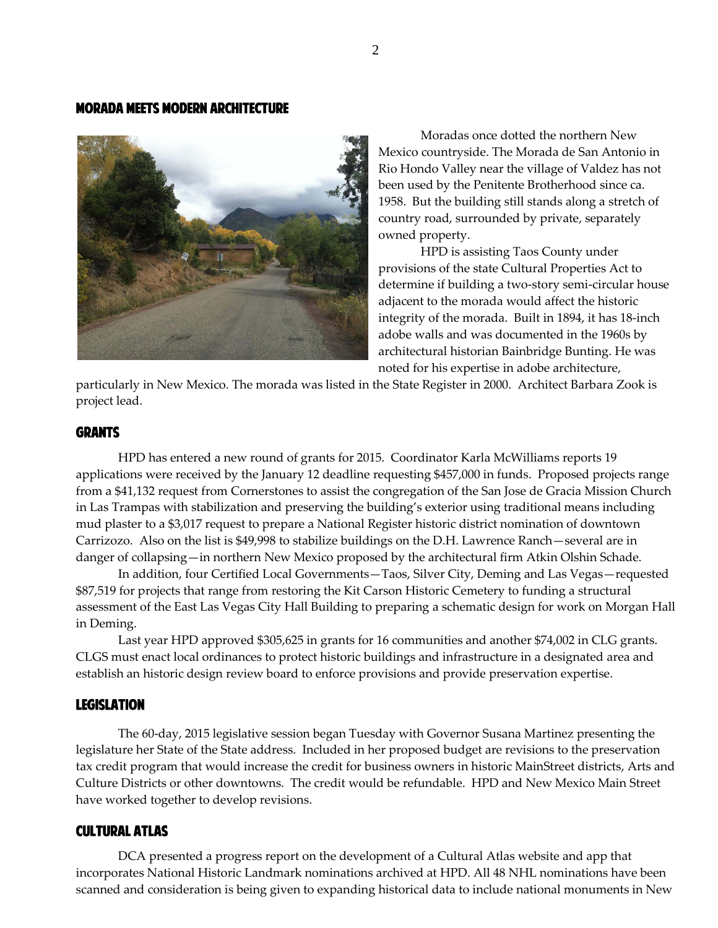## Morada Meets Modern Architecture



Moradas once dotted the northern New Mexico countryside. The Morada de San Antonio in Rio Hondo Valley near the village of Valdez has not been used by the Penitente Brotherhood since ca. 1958. But the building still stands along a stretch of country road, surrounded by private, separately owned property.

HPD is assisting Taos County under provisions of the state Cultural Properties Act to determine if building a two-story semi-circular house adjacent to the morada would affect the historic integrity of the morada. Built in 1894, it has 18-inch adobe walls and was documented in the 1960s by architectural historian Bainbridge Bunting. He was noted for his expertise in adobe architecture,

particularly in New Mexico. The morada was listed in the State Register in 2000. Architect Barbara Zook is project lead.

#### **GRANTS**

HPD has entered a new round of grants for 2015. Coordinator Karla McWilliams reports 19 applications were received by the January 12 deadline requesting \$457,000 in funds. Proposed projects range from a \$41,132 request from Cornerstones to assist the congregation of the San Jose de Gracia Mission Church in Las Trampas with stabilization and preserving the building's exterior using traditional means including mud plaster to a \$3,017 request to prepare a National Register historic district nomination of downtown Carrizozo. Also on the list is \$49,998 to stabilize buildings on the D.H. Lawrence Ranch—several are in danger of collapsing—in northern New Mexico proposed by the architectural firm Atkin Olshin Schade.

In addition, four Certified Local Governments—Taos, Silver City, Deming and Las Vegas—requested \$87,519 for projects that range from restoring the Kit Carson Historic Cemetery to funding a structural assessment of the East Las Vegas City Hall Building to preparing a schematic design for work on Morgan Hall in Deming.

Last year HPD approved \$305,625 in grants for 16 communities and another \$74,002 in CLG grants. CLGS must enact local ordinances to protect historic buildings and infrastructure in a designated area and establish an historic design review board to enforce provisions and provide preservation expertise.

# **LEGISLATION**

The 60-day, 2015 legislative session began Tuesday with Governor Susana Martinez presenting the legislature her State of the State address. Included in her proposed budget are revisions to the preservation tax credit program that would increase the credit for business owners in historic MainStreet districts, Arts and Culture Districts or other downtowns. The credit would be refundable. HPD and New Mexico Main Street have worked together to develop revisions.

#### Cultural Atlas

DCA presented a progress report on the development of a Cultural Atlas website and app that incorporates National Historic Landmark nominations archived at HPD. All 48 NHL nominations have been scanned and consideration is being given to expanding historical data to include national monuments in New